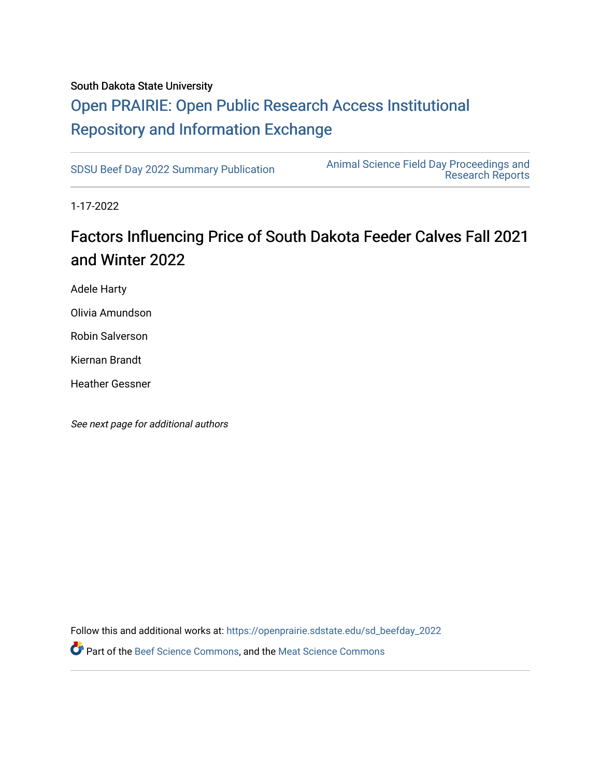#### South Dakota State University

## [Open PRAIRIE: Open Public Research Access Institutional](https://openprairie.sdstate.edu/)  [Repository and Information Exchange](https://openprairie.sdstate.edu/)

[SDSU Beef Day 2022 Summary Publication](https://openprairie.sdstate.edu/sd_beefday_2022) [Animal Science Field Day Proceedings and](https://openprairie.sdstate.edu/ans_reports)  [Research Reports](https://openprairie.sdstate.edu/ans_reports) 

1-17-2022

## Factors Influencing Price of South Dakota Feeder Calves Fall 2021 and Winter 2022

Adele Harty

Olivia Amundson

Robin Salverson

Kiernan Brandt

Heather Gessner

See next page for additional authors

Follow this and additional works at: [https://openprairie.sdstate.edu/sd\\_beefday\\_2022](https://openprairie.sdstate.edu/sd_beefday_2022?utm_source=openprairie.sdstate.edu%2Fsd_beefday_2022%2F7&utm_medium=PDF&utm_campaign=PDFCoverPages)  **P** Part of the [Beef Science Commons,](http://network.bepress.com/hgg/discipline/1404?utm_source=openprairie.sdstate.edu%2Fsd_beefday_2022%2F7&utm_medium=PDF&utm_campaign=PDFCoverPages) and the [Meat Science Commons](http://network.bepress.com/hgg/discipline/1301?utm_source=openprairie.sdstate.edu%2Fsd_beefday_2022%2F7&utm_medium=PDF&utm_campaign=PDFCoverPages)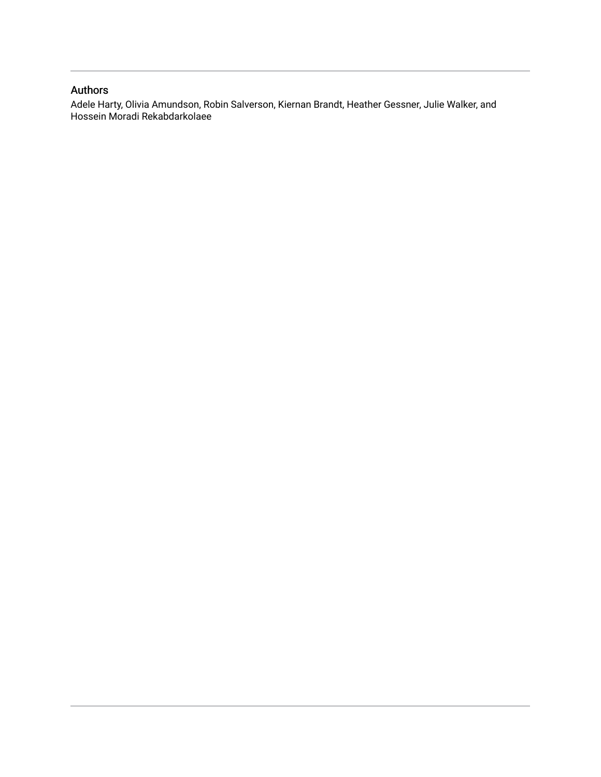## Authors

Adele Harty, Olivia Amundson, Robin Salverson, Kiernan Brandt, Heather Gessner, Julie Walker, and Hossein Moradi Rekabdarkolaee